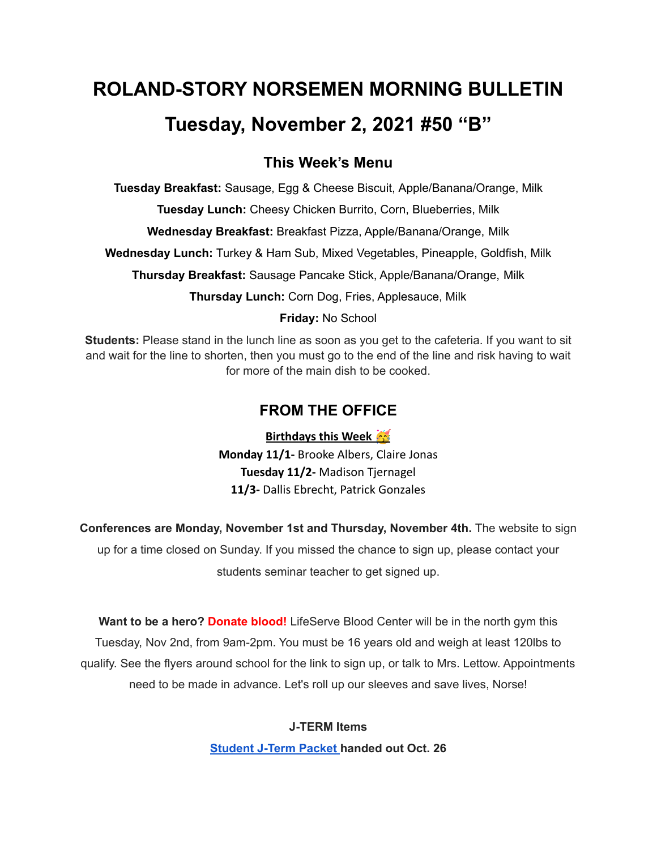# **ROLAND-STORY NORSEMEN MORNING BULLETIN Tuesday, November 2, 2021 #50 "B"**

# **This Week's Menu**

**Tuesday Breakfast:** Sausage, Egg & Cheese Biscuit, Apple/Banana/Orange, Milk

**Tuesday Lunch:** Cheesy Chicken Burrito, Corn, Blueberries, Milk

**Wednesday Breakfast:** Breakfast Pizza, Apple/Banana/Orange, Milk

**Wednesday Lunch:** Turkey & Ham Sub, Mixed Vegetables, Pineapple, Goldfish, Milk

**Thursday Breakfast:** Sausage Pancake Stick, Apple/Banana/Orange, Milk

**Thursday Lunch:** Corn Dog, Fries, Applesauce, Milk

## **Friday:** No School

**Students:** Please stand in the lunch line as soon as you get to the cafeteria. If you want to sit and wait for the line to shorten, then you must go to the end of the line and risk having to wait for more of the main dish to be cooked.

# **FROM THE OFFICE**

**Birthdays this Week Monday 11/1-** Brooke Albers, Claire Jonas **Tuesday 11/2-** Madison Tjernagel **11/3-** Dallis Ebrecht, Patrick Gonzales

**Conferences are Monday, November 1st and Thursday, November 4th.** The website to sign up for a time closed on Sunday. If you missed the chance to sign up, please contact your students seminar teacher to get signed up.

**Want to be a hero? Donate blood!** LifeServe Blood Center will be in the north gym this Tuesday, Nov 2nd, from 9am-2pm. You must be 16 years old and weigh at least 120lbs to qualify. See the flyers around school for the link to sign up, or talk to Mrs. Lettow. Appointments need to be made in advance. Let's roll up our sleeves and save lives, Norse!

## **J-TERM Items**

**[Student](https://drive.google.com/file/d/1h6QugcDvlDevR3f9EywbUQrqVqyCPD5n/view?usp=sharing) J-Term Packet handed out Oct. 26**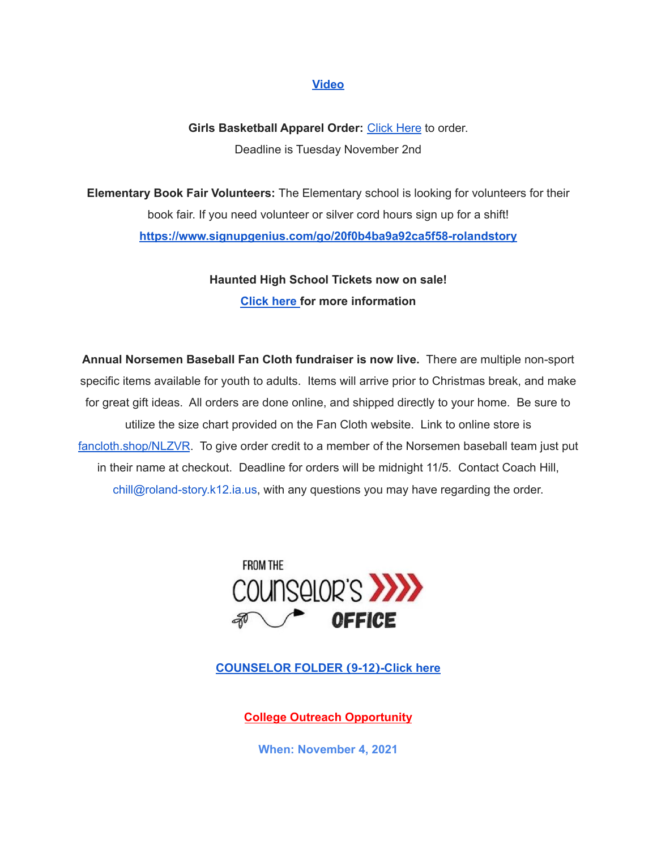#### **[Video](https://drive.google.com/file/d/1-IjAQRz891m66mXs_V_s9qC8_1HN0Jw_/view?usp=sharing)**

## **Girls Basketball Apparel Order:** [Click](https://rsgbb21.itemorder.com/shop/sale/) Here to order. Deadline is Tuesday November 2nd

**Elementary Book Fair Volunteers:** The Elementary school is looking for volunteers for their book fair. If you need volunteer or silver cord hours sign up for a shift! **<https://www.signupgenius.com/go/20f0b4ba9a92ca5f58-rolandstory>**

> **Haunted High School Tickets now on sale! [Click](https://drive.google.com/file/d/1QQXVvjnwkvK4mkS1QKdNp9LhOMZRHqKl/view?usp=sharing) here for more information**

**Annual Norsemen Baseball Fan Cloth fundraiser is now live.** There are multiple non-sport specific items available for youth to adults. Items will arrive prior to Christmas break, and make for great gift ideas. All orders are done online, and shipped directly to your home. Be sure to utilize the size chart provided on the Fan Cloth website. Link to online store is [fancloth.shop/NLZVR](http://fancloth.shop/NLZVR). To give order credit to a member of the Norsemen baseball team just put in their name at checkout. Deadline for orders will be midnight 11/5. Contact Coach Hill, chill@roland-story.k12.ia.us, with any questions you may have regarding the order.



**[COUNSELOR](https://docs.google.com/document/d/1vmwczNPbDzXe9vFaG5LJMQ7NYDv-i4oQJHybqA65TUc/edit?usp=sharing) FOLDER (9-12)-Click here**

**College Outreach Opportunity**

**When: November 4, 2021**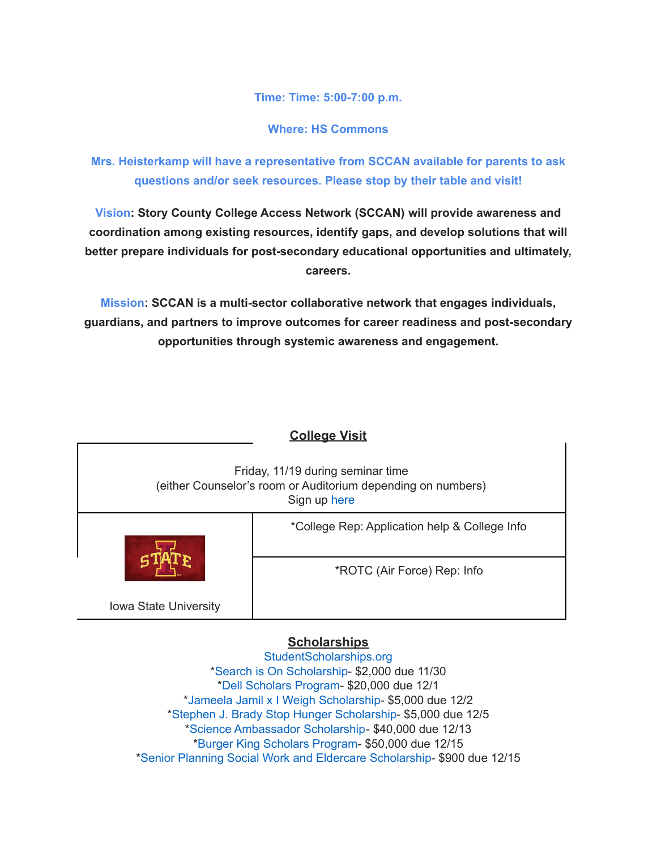**Time: Time: 5:00-7:00 p.m.**

**Where: HS Commons**

**Mrs. Heisterkamp will have a representative from SCCAN available for parents to ask questions and/or seek resources. Please stop by their table and visit!**

**Vision: Story County College Access Network (SCCAN) will provide awareness and coordination among existing resources, identify gaps, and develop solutions that will better prepare individuals for post-secondary educational opportunities and ultimately, careers.**

**Mission: SCCAN is a multi-sector collaborative network that engages individuals, guardians, and partners to improve outcomes for career readiness and post-secondary opportunities through systemic awareness and engagement.**

| <b>College Visit</b>                                                                                              |                                               |
|-------------------------------------------------------------------------------------------------------------------|-----------------------------------------------|
| Friday, 11/19 during seminar time<br>(either Counselor's room or Auditorium depending on numbers)<br>Sign up here |                                               |
|                                                                                                                   | *College Rep: Application help & College Info |
|                                                                                                                   | *ROTC (Air Force) Rep: Info                   |
| <b>Iowa State University</b>                                                                                      |                                               |

## **Scholarships**

[StudentScholarships.org](https://drive.google.com/file/d/1vNlRtrk0wQiX1jPIPjpUVHhi5zFlcRvw/view?usp=sharing) \*Search is On [Scholarship](https://studentscholarships.org/scholarship/19120/search_is_on_scholarship_scholarship.php)- \$2,000 due 11/30 \*Dell [Scholars](https://studentscholarships.org/scholarship/9745/dell_scholars_program_scholarship.php) Program- \$20,000 due 12/1 \*Jameela Jamil x I Weigh [Scholarship-](https://studentscholarships.org/scholarship/19302/jameela_jamil_x_i_weigh_scholarship_scholarship.php) \$5,000 due 12/2 \*Stephen J. Brady Stop Hunger [Scholarship-](https://studentscholarships.org/scholarship/8850/stephen_j_brady_stop_hunger_scholarships_scholarship.php) \$5,000 due 12/5 \*Science [Ambassador](https://studentscholarships.org/scholarship/14669/science_ambassador_scholarship_scholarship.php) Scholarship- \$40,000 due 12/13 \*Burger King [Scholars](https://studentscholarships.org/scholarship/10533/burger_king_scholars_program_scholarship.php) Program- \$50,000 due 12/15 \*Senior Planning Social Work and Eldercare [Scholarship](https://studentscholarships.org/scholarship/11393/senior_planning_social_scholarship.php)- \$900 due 12/15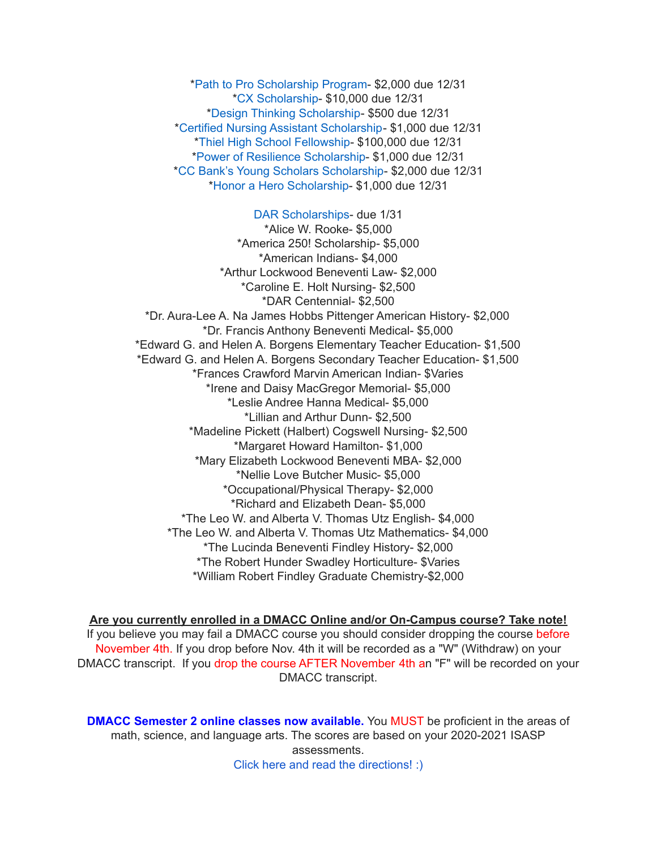\*Path to Pro [Scholarship](https://studentscholarships.org/scholarship/19069/path_to_pro_scholarship_program_scholarship.php) Program- \$2,000 due 12/31 \*CX [Scholarship-](https://studentscholarships.org/scholarship/19320/cx_scholarship_scholarship.php) \$10,000 due 12/31 \*Design Thinking [Scholarship](https://studentscholarships.org/scholarship/11010/design_thinking_scholarship_scholarship.php)- \$500 due 12/31 \*Certified Nursing Assistant [Scholarship-](https://studentscholarships.org/scholarship/19122/certified_nursing_assistant_scholarship_scholarship.php) \$1,000 due 12/31 \*Thiel High School [Fellowship](https://studentscholarships.org/scholarship/14065/thiel_fellowship_scholarship.php)- \$100,000 due 12/31 \*Power of Resilience [Scholarship-](https://studentscholarships.org/scholarship/14792/power_of_resilience_scholarship_scholarship.php) \$1,000 due 12/31 \*CC Bank's Young Scholars [Scholarship-](https://studentscholarships.org/scholarship/13729/cc_bank_s_young_scholars_scholarship_scholarship.php) \$2,000 due 12/31 \*Honor a Hero [Scholarship](https://studentscholarships.org/scholarship/19015/honor_a_hero_scholarship_scholarship.php)- \$1,000 due 12/31

DAR [Scholarships-](https://dar.academicworks.com/) due 1/31

\*Alice W. Rooke- \$5,000 \*America 250! Scholarship- \$5,000 \*American Indians- \$4,000 \*Arthur Lockwood Beneventi Law- \$2,000 \*Caroline E. Holt Nursing- \$2,500 \*DAR Centennial- \$2,500 \*Dr. Aura-Lee A. Na James Hobbs Pittenger American History- \$2,000 \*Dr. Francis Anthony Beneventi Medical- \$5,000 \*Edward G. and Helen A. Borgens Elementary Teacher Education- \$1,500 \*Edward G. and Helen A. Borgens Secondary Teacher Education- \$1,500 \*Frances Crawford Marvin American Indian- \$Varies \*Irene and Daisy MacGregor Memorial- \$5,000 \*Leslie Andree Hanna Medical- \$5,000 \*Lillian and Arthur Dunn- \$2,500 \*Madeline Pickett (Halbert) Cogswell Nursing- \$2,500 \*Margaret Howard Hamilton- \$1,000 \*Mary Elizabeth Lockwood Beneventi MBA- \$2,000 \*Nellie Love Butcher Music- \$5,000 \*Occupational/Physical Therapy- \$2,000 \*Richard and Elizabeth Dean- \$5,000 \*The Leo W. and Alberta V. Thomas Utz English- \$4,000 \*The Leo W. and Alberta V. Thomas Utz Mathematics- \$4,000 \*The Lucinda Beneventi Findley History- \$2,000 \*The Robert Hunder Swadley Horticulture- \$Varies \*William Robert Findley Graduate Chemistry-\$2,000

**Are you currently enrolled in a DMACC Online and/or On-Campus course? Take note!** If you believe you may fail a DMACC course you should consider dropping the course before November 4th. If you drop before Nov. 4th it will be recorded as a "W" (Withdraw) on your DMACC transcript. If you drop the course AFTER November 4th an "F" will be recorded on your DMACC transcript.

**DMACC Semester 2 online classes now available.** You MUST be proficient in the areas of math, science, and language arts. The scores are based on your 2020-2021 ISASP assessments. Click here and read the [directions!](https://docs.google.com/document/d/1DwEmgrLuBDkU4bqokTEqzimj1v3EFqhLcx5OUZTQjsg/edit?usp=sharing) :)